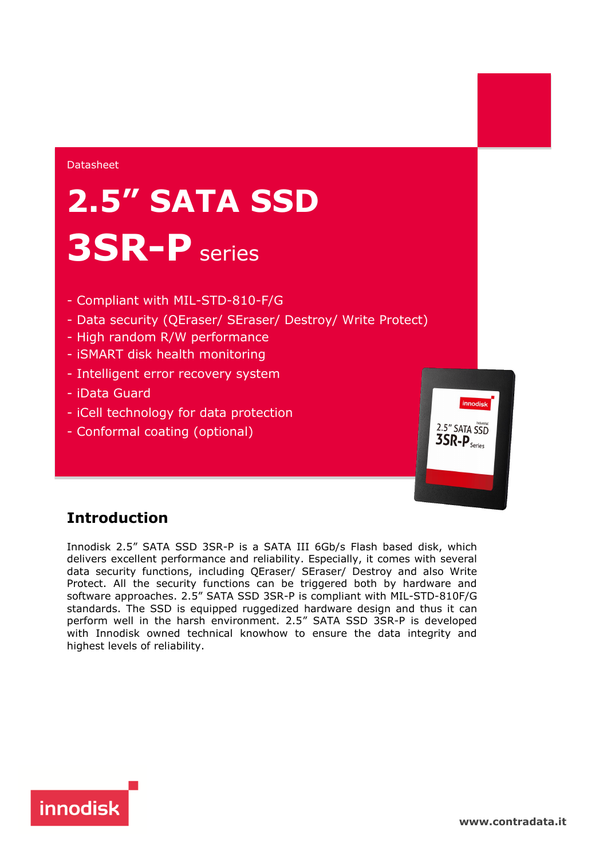#### Datasheet

# **2.5" SATA SSD 3SR-P** series

- Compliant with MIL-STD-810-F/G
- Data security (QEraser/ SEraser/ Destroy/ Write Protect)
- High random R/W performance
- iSMART disk health monitoring
- Intelligent error recovery system
- iData Guard
- iCell technology for data protection
- Conformal coating (optional)



### **Introduction**

Innodisk 2.5" SATA SSD 3SR-P is a SATA III 6Gb/s Flash based disk, which delivers excellent performance and reliability. Especially, it comes with several data security functions, including QEraser/ SEraser/ Destroy and also Write Protect. All the security functions can be triggered both by hardware and software approaches. 2.5" SATA SSD 3SR-P is compliant with MIL-STD-810F/G standards. The SSD is equipped ruggedized hardware design and thus it can perform well in the harsh environment. 2.5" SATA SSD 3SR-P is developed with Innodisk owned technical knowhow to ensure the data integrity and highest levels of reliability.